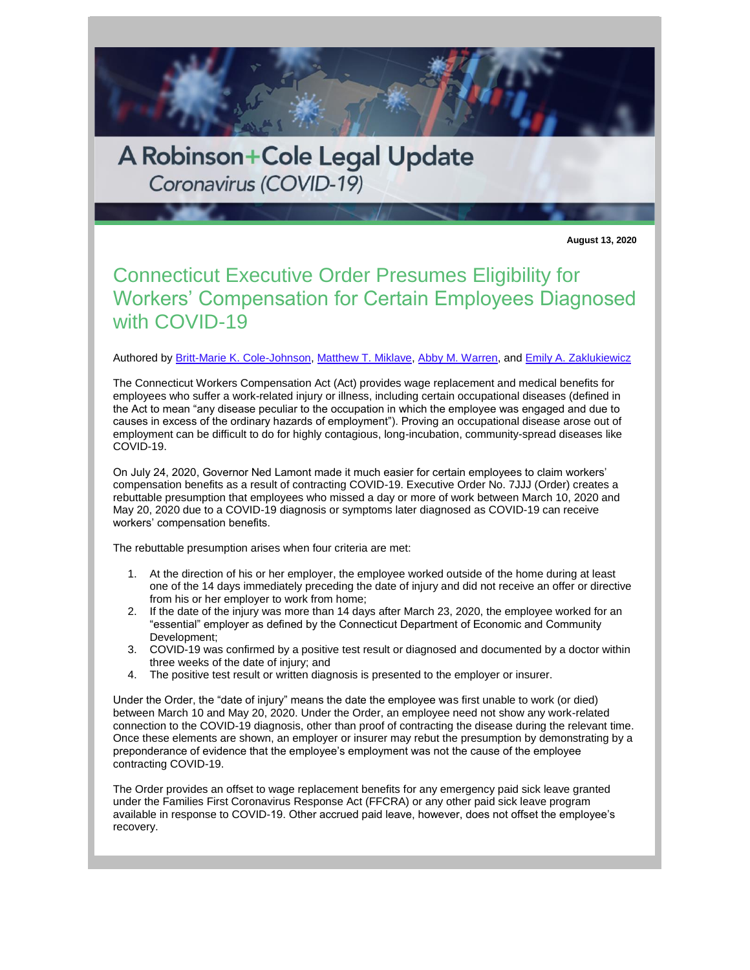

Coronavirus (COVID-19)

**August 13, 2020**

## Connecticut Executive Order Presumes Eligibility for Workers' Compensation for Certain Employees Diagnosed with COVID-19

## Authored by [Britt-Marie K. Cole-Johnson,](http://www.rc.com/people/Britt-MarieKCole-Johnson.cfm) [Matthew T. Miklave,](http://www.rc.com/people/MatthewTMiklave.cfm) [Abby M. Warren,](http://www.rc.com/people/AbbyMWarren.cfm) and [Emily A. Zaklukiewicz](http://www.rc.com/people/EmilyAZaklukiewicz.cfm)

The Connecticut Workers Compensation Act (Act) provides wage replacement and medical benefits for employees who suffer a work-related injury or illness, including certain occupational diseases (defined in the Act to mean "any disease peculiar to the occupation in which the employee was engaged and due to causes in excess of the ordinary hazards of employment"). Proving an occupational disease arose out of employment can be difficult to do for highly contagious, long-incubation, community-spread diseases like COVID-19.

On July 24, 2020, Governor Ned Lamont made it much easier for certain employees to claim workers' compensation benefits as a result of contracting COVID-19. Executive Order No. 7JJJ (Order) creates a rebuttable presumption that employees who missed a day or more of work between March 10, 2020 and May 20, 2020 due to a COVID-19 diagnosis or symptoms later diagnosed as COVID-19 can receive workers' compensation benefits.

The rebuttable presumption arises when four criteria are met:

- 1. At the direction of his or her employer, the employee worked outside of the home during at least one of the 14 days immediately preceding the date of injury and did not receive an offer or directive from his or her employer to work from home;
- 2. If the date of the injury was more than 14 days after March 23, 2020, the employee worked for an "essential" employer as defined by the Connecticut Department of Economic and Community Development;
- 3. COVID-19 was confirmed by a positive test result or diagnosed and documented by a doctor within three weeks of the date of injury; and
- 4. The positive test result or written diagnosis is presented to the employer or insurer.

Under the Order, the "date of injury" means the date the employee was first unable to work (or died) between March 10 and May 20, 2020. Under the Order, an employee need not show any work-related connection to the COVID-19 diagnosis, other than proof of contracting the disease during the relevant time. Once these elements are shown, an employer or insurer may rebut the presumption by demonstrating by a preponderance of evidence that the employee's employment was not the cause of the employee contracting COVID-19.

The Order provides an offset to wage replacement benefits for any emergency paid sick leave granted under the Families First Coronavirus Response Act (FFCRA) or any other paid sick leave program available in response to COVID-19. Other accrued paid leave, however, does not offset the employee's recovery.